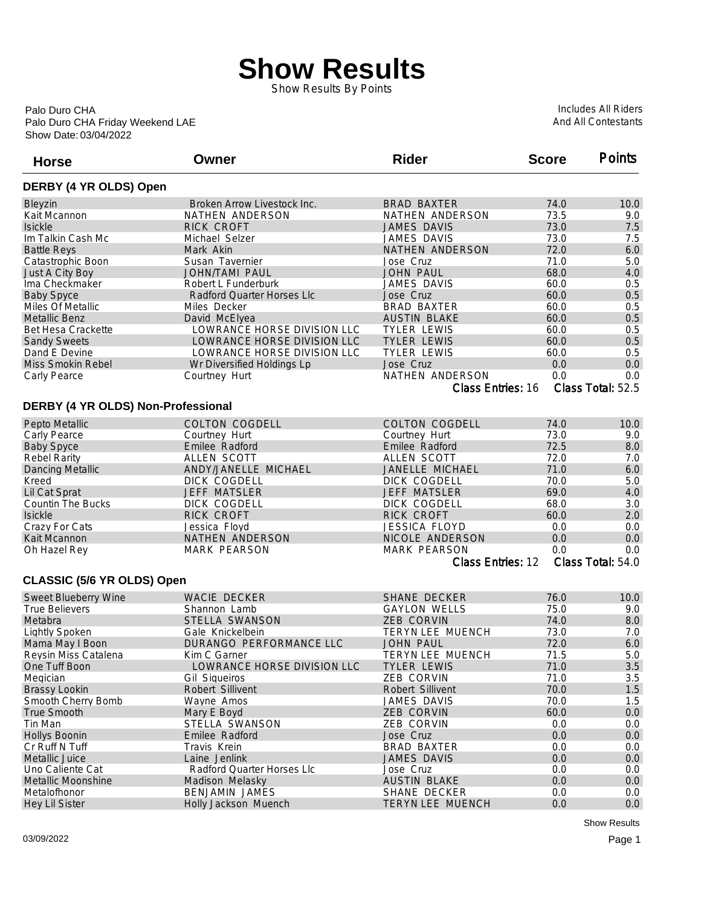## **Show Results**

Show Results By Points

Show Date: 03/04/2022 Palo Duro CHA Friday Weekend LAE Palo Duro CHA

Includes All Riders And All Contestants

| <b>Horse</b>                       | Owner                             | <b>Rider</b>          | <b>Score</b> | <b>Points</b>     |
|------------------------------------|-----------------------------------|-----------------------|--------------|-------------------|
| DERBY (4 YR OLDS) Open             |                                   |                       |              |                   |
| Bleyzin                            | Broken Arrow Livestock Inc.       | <b>BRAD BAXTER</b>    | 74.0         | 10.0              |
| Kait Mcannon                       | NATHEN ANDERSON                   | NATHEN ANDERSON       | 73.5         | 9.0               |
| <b>Isickle</b>                     | RICK CROFT                        | <b>JAMES DAVIS</b>    | 73.0         | 7.5               |
| Im Talkin Cash Mc                  | Michael Selzer                    | <b>JAMES DAVIS</b>    | 73.0         | 7.5               |
| <b>Battle Reys</b>                 | Mark Akin                         | NATHEN ANDERSON       | 72.0         | 6.0               |
| Catastrophic Boon                  | Susan Tavernier                   | Jose Cruz             | 71.0         | 5.0               |
| Just A City Boy                    | <b>JOHN/TAMI PAUL</b>             | <b>JOHN PAUL</b>      | 68.0         | 4.0               |
| Ima Checkmaker                     | Robert L Funderburk               | <b>JAMES DAVIS</b>    | 60.0         | 0.5               |
| <b>Baby Spyce</b>                  | <b>Radford Quarter Horses Llc</b> | Jose Cruz             | 60.0         | 0.5               |
| Miles Of Metallic                  | Miles Decker                      | <b>BRAD BAXTER</b>    | 60.0         | 0.5               |
| <b>Metallic Benz</b>               | David McElyea                     | <b>AUSTIN BLAKE</b>   | 60.0         | 0.5               |
| <b>Bet Hesa Crackette</b>          | LOWRANCE HORSE DIVISION LLC       | <b>TYLER LEWIS</b>    | 60.0         | 0.5               |
| <b>Sandy Sweets</b>                | LOWRANCE HORSE DIVISION LLC       | <b>TYLER LEWIS</b>    | 60.0         | 0.5               |
| Dand E Devine                      | LOWRANCE HORSE DIVISION LLC       | <b>TYLER LEWIS</b>    | 60.0         | 0.5               |
| Miss Smokin Rebel                  | Wr Diversified Holdings Lp        | Jose Cruz             | 0.0          | 0.0               |
| Carly Pearce                       | Courtney Hurt                     | NATHEN ANDERSON       | 0.0          | 0.0               |
|                                    |                                   | Class Entries: 16     |              | Class Total: 52.5 |
| DERBY (4 YR OLDS) Non-Professional |                                   |                       |              |                   |
|                                    |                                   |                       |              |                   |
| Pepto Metallic                     | <b>COLTON COGDELL</b>             | <b>COLTON COGDELL</b> | 74.0         | 10.0              |
| Carly Pearce                       | Courtney Hurt                     | Courtney Hurt         | 73.0         | 9.0               |
| <b>Baby Spyce</b>                  | Emilee Radford                    | Emilee Radford        | 72.5         | 8.0               |
| <b>Rebel Rarity</b>                | ALLEN SCOTT                       | ALLEN SCOTT           | 72.0         | 7.0               |
| <b>Dancing Metallic</b>            | ANDY/JANELLE MICHAEL              | JANELLE MICHAEL       | 71.0         | 6.0               |
| Kreed                              | <b>DICK COGDELL</b>               | DICK COGDELL          | 70.0         | 5.0               |
| Lil Cat Sprat                      | <b>JEFF MATSLER</b>               | <b>JEFF MATSLER</b>   | 69.0         | 4.0               |
| Countin The Bucks                  | DICK COGDELL                      | DICK COGDELL          | 68.0         | 3.0               |
| <b>Isickle</b>                     | RICK CROFT                        | RICK CROFT            | 60.0         | 2.0               |
| Crazy For Cats                     | Jessica Floyd                     | <b>JESSICA FLOYD</b>  | 0.0          | 0.0               |
| Kait Mcannon                       | NATHEN ANDERSON                   | NICOLE ANDERSON       | 0.0          | 0.0               |
| Oh Hazel Rey                       | <b>MARK PEARSON</b>               | <b>MARK PEARSON</b>   | 0.0          | 0.0               |
|                                    |                                   | Class Entries: 12     |              | Class Total: 54.0 |
| <b>CLASSIC (5/6 YR OLDS) Open</b>  |                                   |                       |              |                   |
| Sweet Blueberry Wine               | <b>WACIE DECKER</b>               | <b>SHANE DECKER</b>   | 76.0         | 10.0              |
| <b>True Believers</b>              | Shannon Lamb                      | <b>GAYLON WELLS</b>   | 75.0         | 9.0               |
| Metabra                            | STELLA SWANSON                    | <b>ZEB CORVIN</b>     | 74.0         | 8.0               |
| <b>Lightly Spoken</b>              | Gale Knickelbein                  | TERYN LEE MUENCH      | 73.0         | 7.0               |
| Mama May I Boon                    | DURANGO PERFORMANCE LLC           | <b>JOHN PAUL</b>      | 72.0         | 6.0               |
| Reysin Miss Catalena               | Kim C Garner                      | TERYN LEE MUENCH      | 71.5         | 5.0               |
| One Tuff Boon                      | LOWRANCE HORSE DIVISION LLC       | <b>TYLER LEWIS</b>    | 71.0         | $3.5\,$           |
| Megician                           | <b>Gil Sigueiros</b>              | <b>ZEB CORVIN</b>     | 71.0         | 3.5               |
| <b>Brassy Lookin</b>               | Robert Sillivent                  | Robert Sillivent      | 70.0         | 1.5               |
| Smooth Cherry Bomb                 | Wayne Amos                        | JAMES DAVIS           | 70.0         | 1.5               |
| <b>True Smooth</b>                 | Mary E Boyd                       | <b>ZEB CORVIN</b>     | 60.0         | 0.0               |
| Tin Man                            | STELLA SWANSON                    | ZEB CORVIN            | $0.0\,$      | 0.0               |
| <b>Hollys Boonin</b>               | Emilee Radford                    | Jose Cruz             | $0.0\,$      | 0.0               |
| Cr Ruff N Tuff                     | Travis Krein                      | <b>BRAD BAXTER</b>    | 0.0          | 0.0               |
| Metallic Juice                     | Laine Jenlink                     | JAMES DAVIS           | 0.0          | $0.0\,$           |
| Uno Caliente Cat                   | Radford Quarter Horses Llc        | Jose Cruz             | 0.0          | 0.0               |
| Metallic Moonshine                 | Madison Melasky                   | <b>AUSTIN BLAKE</b>   | 0.0          | 0.0               |
| Metalofhonor                       | <b>BENJAMIN JAMES</b>             | SHANE DECKER          | 0.0          | 0.0               |
| <b>Hey Lil Sister</b>              | Holly Jackson Muench              | TERYN LEE MUENCH      | 0.0          | 0.0               |

03/09/2022 Page 1

Show Results